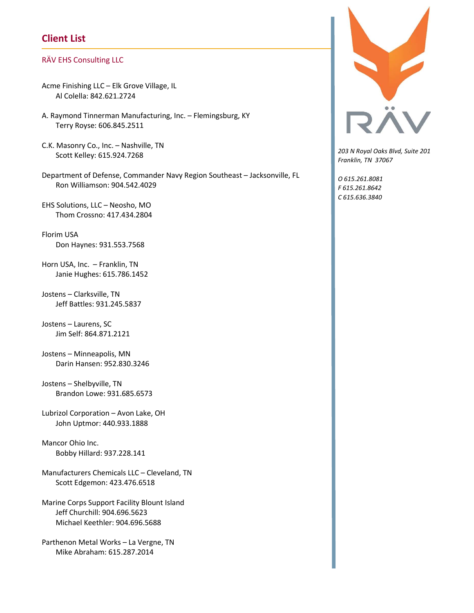## Client List

## RÄV EHS Consulting LLC

- Acme Finishing LLC Elk Grove Village, IL Al Colella: 842.621.2724
- A. Raymond Tinnerman Manufacturing, Inc. Flemingsburg, KY Terry Royse: 606.845.2511
- C.K. Masonry Co., Inc. Nashville, TN Scott Kelley: 615.924.7268
- Department of Defense, Commander Navy Region Southeast Jacksonville, FL Ron Williamson: 904.542.4029
- EHS Solutions, LLC Neosho, MO Thom Crossno: 417.434.2804
- Florim USA Don Haynes: 931.553.7568
- Horn USA, Inc. Franklin, TN Janie Hughes: 615.786.1452
- Jostens Clarksville, TN Jeff Battles: 931.245.5837
- Jostens Laurens, SC Jim Self: 864.871.2121
- Jostens Minneapolis, MN Darin Hansen: 952.830.3246
- Jostens Shelbyville, TN Brandon Lowe: 931.685.6573
- Lubrizol Corporation Avon Lake, OH John Uptmor: 440.933.1888
- Mancor Ohio Inc. Bobby Hillard: 937.228.141
- Manufacturers Chemicals LLC Cleveland, TN Scott Edgemon: 423.476.6518
- Marine Corps Support Facility Blount Island Jeff Churchill: 904.696.5623 Michael Keethler: 904.696.5688
- Parthenon Metal Works La Vergne, TN Mike Abraham: 615.287.2014



203 N Royal Oaks Blvd, Suite 201 Franklin, TN 37067

O 615.261.8081 F 615.261.8642 C 615.636.3840